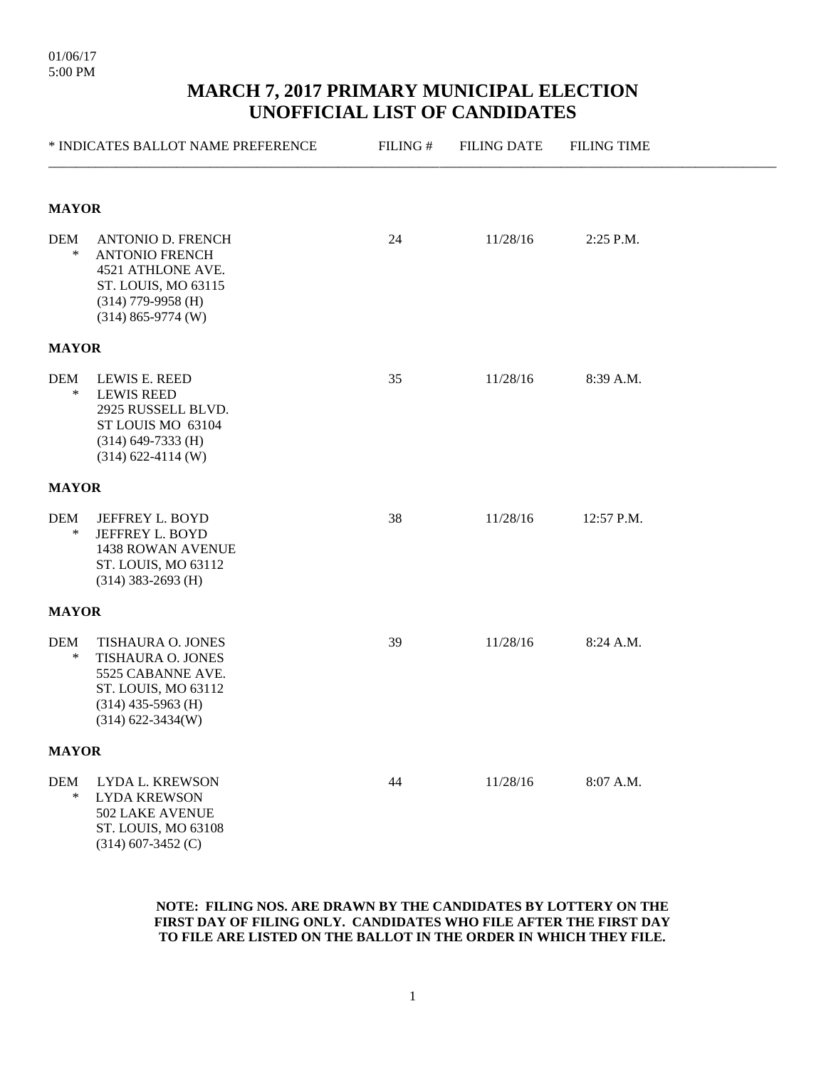|               | * INDICATES BALLOT NAME PREFERENCE                                                                                                            | FILING# | <b>FILING DATE</b> | <b>FILING TIME</b> |  |  |
|---------------|-----------------------------------------------------------------------------------------------------------------------------------------------|---------|--------------------|--------------------|--|--|
| <b>MAYOR</b>  |                                                                                                                                               |         |                    |                    |  |  |
| DEM<br>$\ast$ | <b>ANTONIO D. FRENCH</b><br><b>ANTONIO FRENCH</b><br>4521 ATHLONE AVE.<br>ST. LOUIS, MO 63115<br>$(314)$ 779-9958 (H)<br>$(314)$ 865-9774 (W) | 24      | 11/28/16           | 2:25 P.M.          |  |  |
| <b>MAYOR</b>  |                                                                                                                                               |         |                    |                    |  |  |
| DEM<br>$\ast$ | LEWIS E. REED<br><b>LEWIS REED</b><br>2925 RUSSELL BLVD.<br>ST LOUIS MO 63104<br>$(314)$ 649-7333 (H)<br>$(314)$ 622-4114 (W)                 | 35      | 11/28/16           | 8:39 A.M.          |  |  |
| <b>MAYOR</b>  |                                                                                                                                               |         |                    |                    |  |  |
| DEM<br>$\ast$ | JEFFREY L. BOYD<br>JEFFREY L. BOYD<br>1438 ROWAN AVENUE<br>ST. LOUIS, MO 63112<br>$(314)$ 383-2693 (H)                                        | 38      | 11/28/16           | 12:57 P.M.         |  |  |
| <b>MAYOR</b>  |                                                                                                                                               |         |                    |                    |  |  |
| DEM<br>∗      | TISHAURA O. JONES<br>TISHAURA O. JONES<br>5525 CABANNE AVE.<br>ST. LOUIS, MO 63112<br>$(314)$ 435-5963 (H)<br>$(314) 622 - 3434(W)$           | 39      | 11/28/16           | 8:24 A.M.          |  |  |
| <b>MAYOR</b>  |                                                                                                                                               |         |                    |                    |  |  |
| DEM<br>$\ast$ | LYDA L. KREWSON<br><b>LYDA KREWSON</b><br>502 LAKE AVENUE<br>ST. LOUIS, MO 63108<br>$(314)$ 607-3452 (C)                                      | 44      | 11/28/16           | 8:07 A.M.          |  |  |

#### **NOTE: FILING NOS. ARE DRAWN BY THE CANDIDATES BY LOTTERY ON THE FIRST DAY OF FILING ONLY. CANDIDATES WHO FILE AFTER THE FIRST DAY TO FILE ARE LISTED ON THE BALLOT IN THE ORDER IN WHICH THEY FILE.**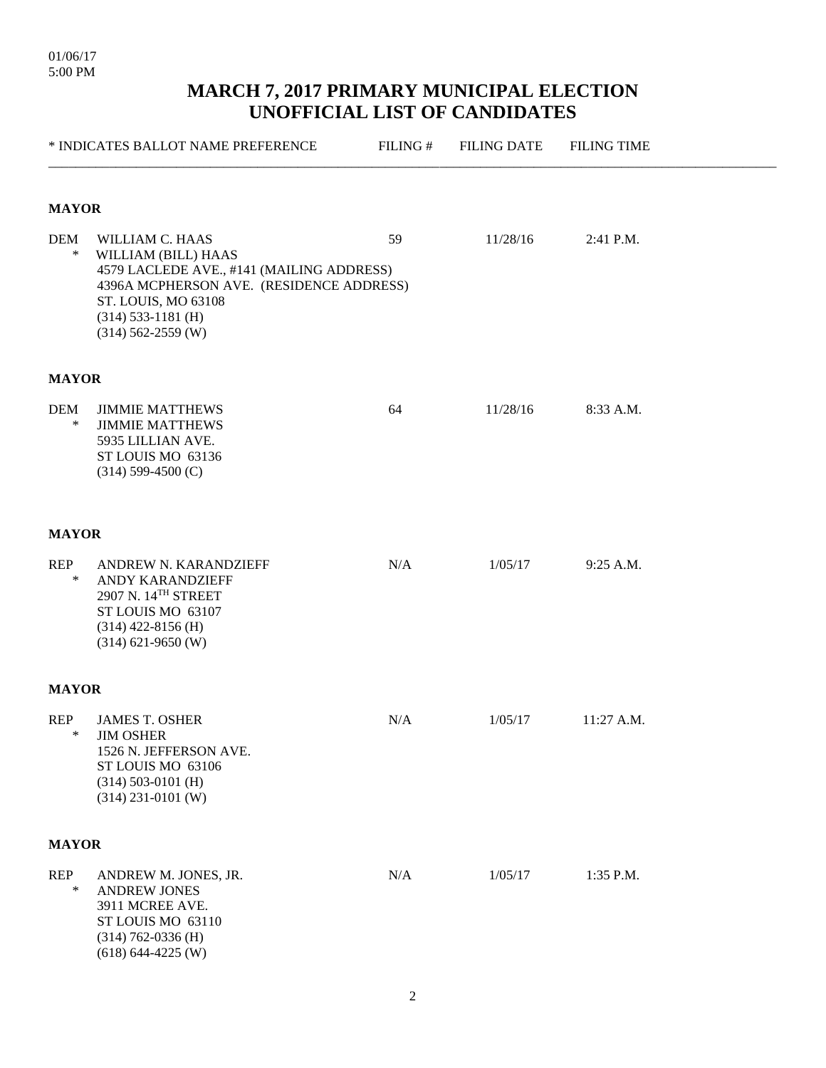01/06/17 5:00 PM

|                      | * INDICATES BALLOT NAME PREFERENCE                                                                                                                                                                     | FILING# | <b>FILING DATE</b> | <b>FILING TIME</b> |  |  |  |  |  |
|----------------------|--------------------------------------------------------------------------------------------------------------------------------------------------------------------------------------------------------|---------|--------------------|--------------------|--|--|--|--|--|
|                      | <b>MAYOR</b>                                                                                                                                                                                           |         |                    |                    |  |  |  |  |  |
| <b>DEM</b><br>$\ast$ | WILLIAM C. HAAS<br>WILLIAM (BILL) HAAS<br>4579 LACLEDE AVE., #141 (MAILING ADDRESS)<br>4396A MCPHERSON AVE. (RESIDENCE ADDRESS)<br>ST. LOUIS, MO 63108<br>$(314)$ 533-1181 (H)<br>$(314)$ 562-2559 (W) | 59      | 11/28/16           | 2:41 P.M.          |  |  |  |  |  |
| <b>MAYOR</b>         |                                                                                                                                                                                                        |         |                    |                    |  |  |  |  |  |
| <b>DEM</b><br>$\ast$ | <b>JIMMIE MATTHEWS</b><br><b>JIMMIE MATTHEWS</b><br>5935 LILLIAN AVE.<br>ST LOUIS MO 63136<br>$(314)$ 599-4500 (C)                                                                                     | 64      | 11/28/16           | 8:33 A.M.          |  |  |  |  |  |
| <b>MAYOR</b>         |                                                                                                                                                                                                        |         |                    |                    |  |  |  |  |  |
| <b>REP</b><br>$\ast$ | ANDREW N. KARANDZIEFF<br>ANDY KARANDZIEFF<br>2907 N. 14TH STREET<br>ST LOUIS MO 63107<br>$(314)$ 422-8156 (H)<br>$(314) 621 - 9650$ (W)                                                                | N/A     | 1/05/17            | 9:25 A.M.          |  |  |  |  |  |
| <b>MAYOR</b>         |                                                                                                                                                                                                        |         |                    |                    |  |  |  |  |  |
| <b>REP</b><br>$\ast$ | <b>JAMES T. OSHER</b><br><b>JIM OSHER</b><br>1526 N. JEFFERSON AVE.<br>ST LOUIS MO 63106<br>$(314)$ 503-0101 (H)<br>$(314)$ 231-0101 (W)                                                               | N/A     | 1/05/17            | 11:27 A.M.         |  |  |  |  |  |
| <b>MAYOR</b>         |                                                                                                                                                                                                        |         |                    |                    |  |  |  |  |  |
| <b>REP</b><br>$\ast$ | ANDREW M. JONES, JR.<br><b>ANDREW JONES</b><br>3911 MCREE AVE.<br>ST LOUIS MO 63110<br>$(314)$ 762-0336 (H)<br>$(618) 644 - 4225$ (W)                                                                  | N/A     | 1/05/17            | 1:35 P.M.          |  |  |  |  |  |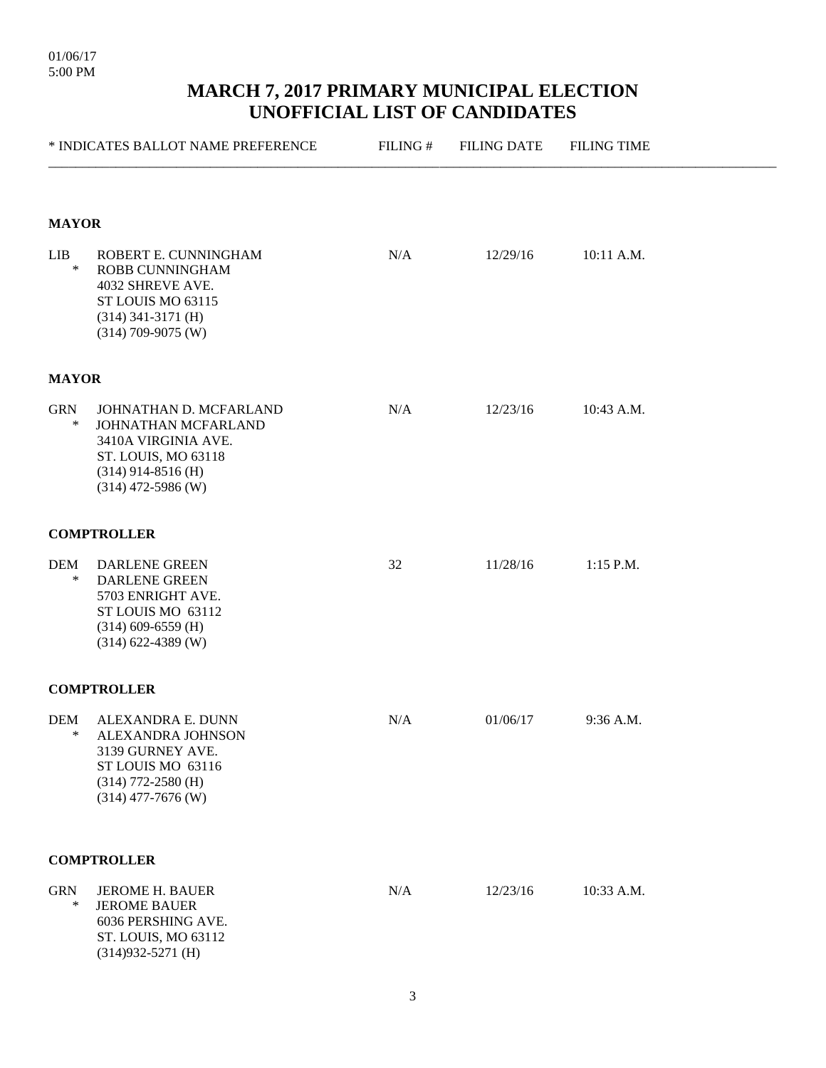|                      | * INDICATES BALLOT NAME PREFERENCE                                                                                                          | FILING# | <b>FILING DATE</b> | <b>FILING TIME</b> |  |
|----------------------|---------------------------------------------------------------------------------------------------------------------------------------------|---------|--------------------|--------------------|--|
| <b>MAYOR</b>         |                                                                                                                                             |         |                    |                    |  |
| <b>LIB</b><br>$\ast$ | ROBERT E. CUNNINGHAM<br>ROBB CUNNINGHAM<br>4032 SHREVE AVE.<br>ST LOUIS MO 63115<br>$(314)$ 341-3171 (H)<br>$(314)$ 709-9075 (W)            | N/A     | 12/29/16           | 10:11 A.M.         |  |
| <b>MAYOR</b>         |                                                                                                                                             |         |                    |                    |  |
| <b>GRN</b><br>$\ast$ | JOHNATHAN D. MCFARLAND<br>JOHNATHAN MCFARLAND<br>3410A VIRGINIA AVE.<br>ST. LOUIS, MO 63118<br>$(314)$ 914-8516 (H)<br>$(314)$ 472-5986 (W) | N/A     | 12/23/16           | 10:43 A.M.         |  |
|                      | <b>COMPTROLLER</b>                                                                                                                          |         |                    |                    |  |
| <b>DEM</b><br>∗      | DARLENE GREEN<br><b>DARLENE GREEN</b><br>5703 ENRIGHT AVE.<br>ST LOUIS MO 63112<br>$(314)$ 609-6559 (H)<br>$(314)$ 622-4389 (W)             | 32      | 11/28/16           | 1:15 P.M.          |  |
|                      | <b>COMPTROLLER</b>                                                                                                                          |         |                    |                    |  |
| <b>DEM</b><br>∗      | ALEXANDRA E. DUNN<br>ALEXANDRA JOHNSON<br>3139 GURNEY AVE.<br>ST LOUIS MO 63116<br>$(314)$ 772-2580 (H)<br>$(314)$ 477-7676 (W)             | N/A     | 01/06/17           | 9:36 A.M.          |  |
|                      | <b>COMPTROLLER</b>                                                                                                                          |         |                    |                    |  |
| <b>GRN</b><br>$\ast$ | <b>JEROME H. BAUER</b><br><b>JEROME BAUER</b><br>6036 PERSHING AVE.<br>ST. LOUIS, MO 63112<br>$(314)932 - 5271$ (H)                         | N/A     | 12/23/16           | 10:33 A.M.         |  |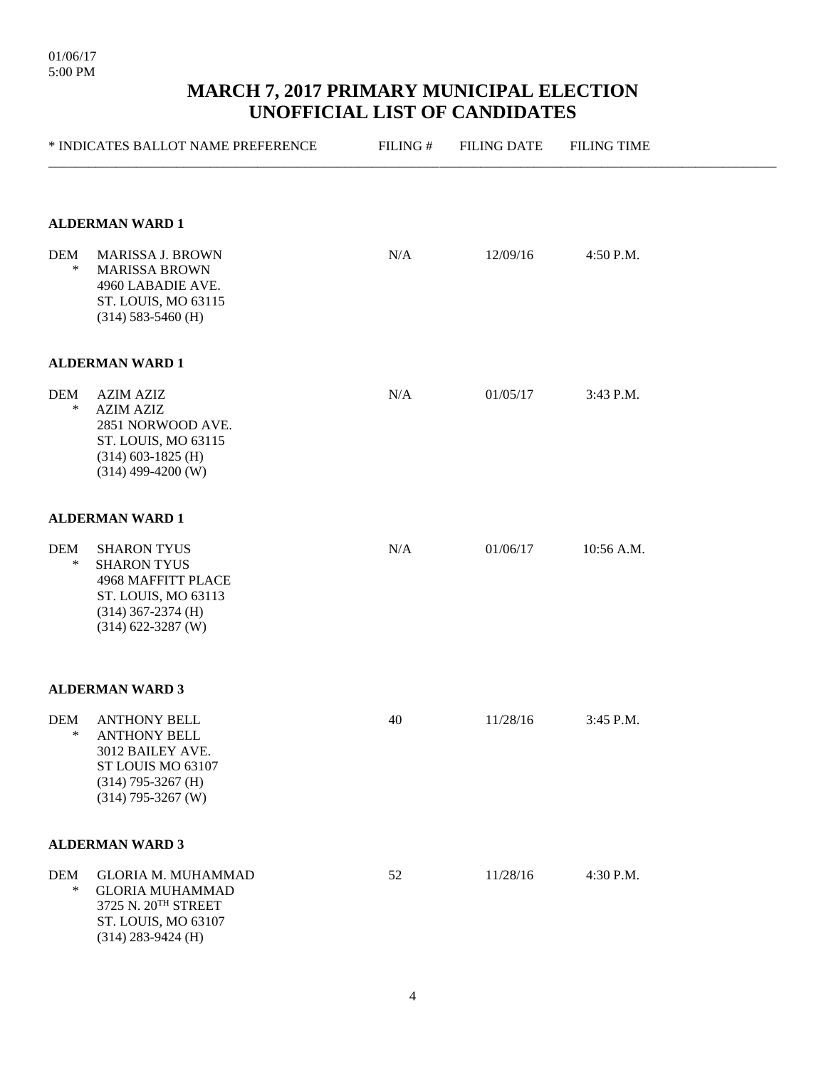|                      | * INDICATES BALLOT NAME PREFERENCE                                                                                                      | FILING# | <b>FILING DATE</b> | <b>FILING TIME</b> |  |
|----------------------|-----------------------------------------------------------------------------------------------------------------------------------------|---------|--------------------|--------------------|--|
|                      | <b>ALDERMAN WARD 1</b>                                                                                                                  |         |                    |                    |  |
| DEM<br>∗             | <b>MARISSA J. BROWN</b><br><b>MARISSA BROWN</b><br>4960 LABADIE AVE.<br>ST. LOUIS, MO 63115<br>$(314)$ 583-5460 (H)                     | N/A     | 12/09/16           | 4:50 P.M.          |  |
|                      | ALDERMAN WARD 1                                                                                                                         |         |                    |                    |  |
| DEM<br>$\ast$        | <b>AZIM AZIZ</b><br><b>AZIM AZIZ</b><br>2851 NORWOOD AVE.<br>ST. LOUIS, MO 63115<br>$(314)$ 603-1825 (H)<br>$(314)$ 499-4200 (W)        | N/A     | 01/05/17           | 3:43 P.M.          |  |
|                      | <b>ALDERMAN WARD 1</b>                                                                                                                  |         |                    |                    |  |
| DEM<br>$\ast$        | <b>SHARON TYUS</b><br><b>SHARON TYUS</b><br>4968 MAFFITT PLACE<br>ST. LOUIS, MO 63113<br>$(314)$ 367-2374 (H)<br>$(314) 622 - 3287$ (W) | N/A     | 01/06/17           | 10:56 A.M.         |  |
|                      | <b>ALDERMAN WARD 3</b>                                                                                                                  |         |                    |                    |  |
| DEM<br>∗             | <b>ANTHONY BELL</b><br><b>ANTHONY BELL</b><br>3012 BAILEY AVE.<br>ST LOUIS MO 63107<br>$(314)$ 795-3267 (H)<br>$(314)$ 795-3267 (W)     | 40      | 11/28/16           | 3:45 P.M.          |  |
|                      | <b>ALDERMAN WARD 3</b>                                                                                                                  |         |                    |                    |  |
| <b>DEM</b><br>$\ast$ | <b>GLORIA M. MUHAMMAD</b><br><b>GLORIA MUHAMMAD</b><br>3725 N. 20TH STREET<br>ST. LOUIS, MO 63107<br>$(314)$ 283-9424 (H)               | 52      | 11/28/16           | 4:30 P.M.          |  |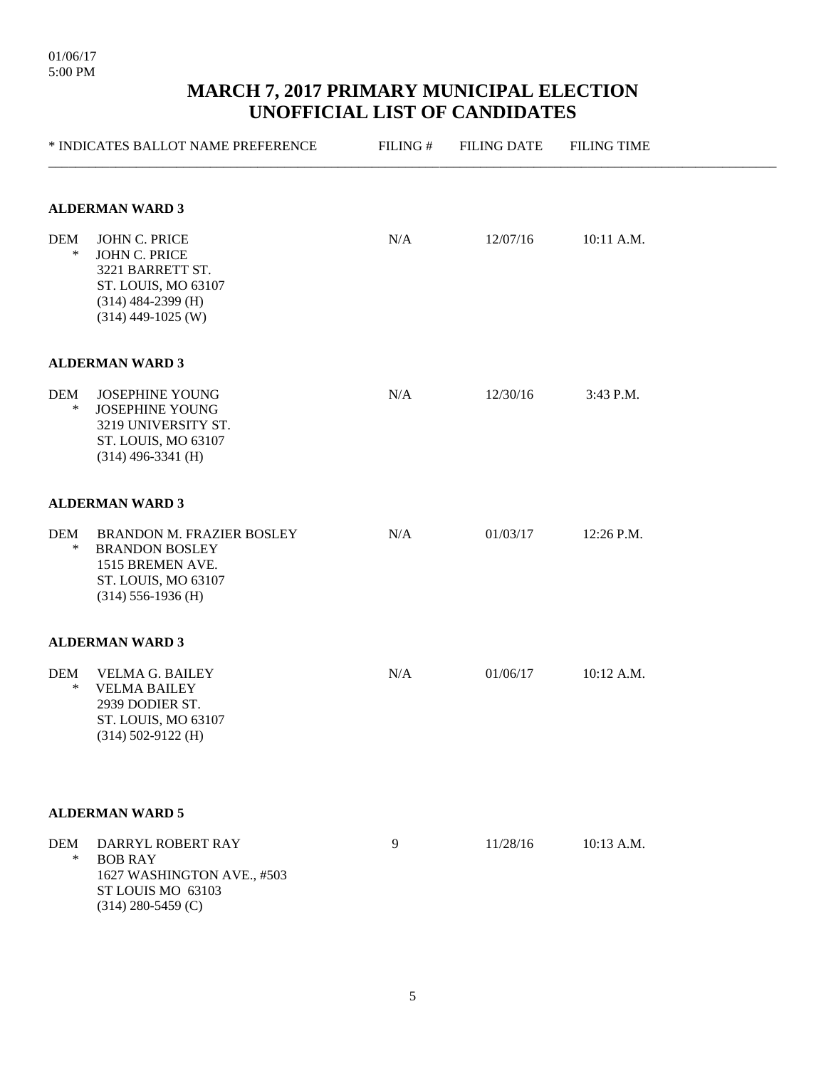|                        | * INDICATES BALLOT NAME PREFERENCE                                                                                               | FILING# | <b>FILING DATE</b> | <b>FILING TIME</b> |  |  |  |  |
|------------------------|----------------------------------------------------------------------------------------------------------------------------------|---------|--------------------|--------------------|--|--|--|--|
| <b>ALDERMAN WARD 3</b> |                                                                                                                                  |         |                    |                    |  |  |  |  |
| <b>DEM</b><br>$\ast$   | JOHN C. PRICE<br><b>JOHN C. PRICE</b><br>3221 BARRETT ST.<br>ST. LOUIS, MO 63107<br>$(314)$ 484-2399 (H)<br>$(314)$ 449-1025 (W) | N/A     | 12/07/16           | 10:11 A.M.         |  |  |  |  |
|                        | <b>ALDERMAN WARD 3</b>                                                                                                           |         |                    |                    |  |  |  |  |
| DEM<br>$\ast$          | <b>JOSEPHINE YOUNG</b><br><b>JOSEPHINE YOUNG</b><br>3219 UNIVERSITY ST.<br>ST. LOUIS, MO 63107<br>$(314)$ 496-3341 (H)           | N/A     | 12/30/16           | 3:43 P.M.          |  |  |  |  |
|                        | <b>ALDERMAN WARD 3</b>                                                                                                           |         |                    |                    |  |  |  |  |
| <b>DEM</b><br>$\ast$   | BRANDON M. FRAZIER BOSLEY<br><b>BRANDON BOSLEY</b><br>1515 BREMEN AVE.<br>ST. LOUIS, MO 63107<br>$(314)$ 556-1936 (H)            | N/A     | 01/03/17           | 12:26 P.M.         |  |  |  |  |
|                        | <b>ALDERMAN WARD 3</b>                                                                                                           |         |                    |                    |  |  |  |  |
| DEM<br>∗               | <b>VELMA G. BAILEY</b><br><b>VELMA BAILEY</b><br>2939 DODIER ST.<br>ST. LOUIS, MO 63107<br>$(314)$ 502-9122 (H)                  | N/A     | 01/06/17           | 10:12 A.M.         |  |  |  |  |
|                        | <b>ALDERMAN WARD 5</b>                                                                                                           |         |                    |                    |  |  |  |  |
| <b>DEM</b><br>$\ast$   | DARRYL ROBERT RAY<br><b>BOB RAY</b><br>1627 WASHINGTON AVE., #503<br>ST LOUIS MO 63103<br>$(314)$ 280-5459 (C)                   | 9       | 11/28/16           | 10:13 A.M.         |  |  |  |  |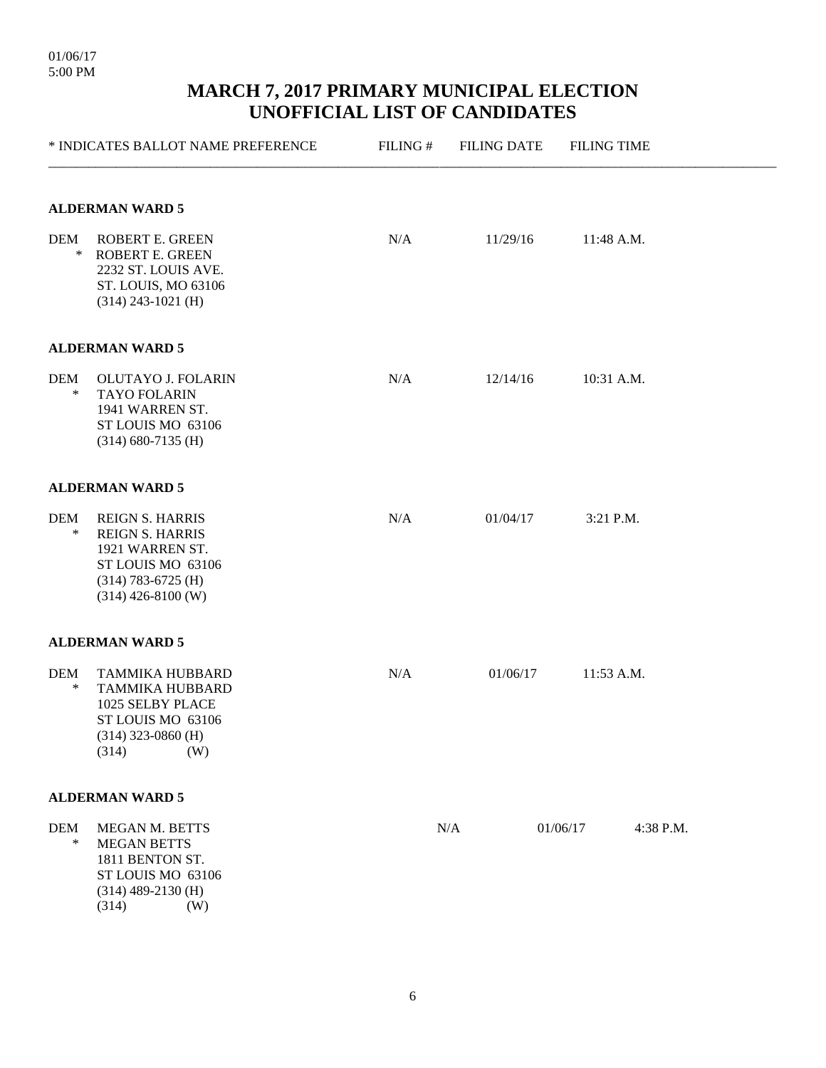|                      | * INDICATES BALLOT NAME PREFERENCE                                                                                                       | FILING# | <b>FILING DATE</b> | <b>FILING TIME</b>    |  |
|----------------------|------------------------------------------------------------------------------------------------------------------------------------------|---------|--------------------|-----------------------|--|
|                      | <b>ALDERMAN WARD 5</b>                                                                                                                   |         |                    |                       |  |
| <b>DEM</b><br>$\ast$ | ROBERT E. GREEN<br><b>ROBERT E. GREEN</b><br>2232 ST. LOUIS AVE.<br>ST. LOUIS, MO 63106<br>$(314)$ 243-1021 (H)                          | N/A     | 11/29/16           | 11:48 A.M.            |  |
|                      | <b>ALDERMAN WARD 5</b>                                                                                                                   |         |                    |                       |  |
| <b>DEM</b><br>$\ast$ | OLUTAYO J. FOLARIN<br><b>TAYO FOLARIN</b><br>1941 WARREN ST.<br>ST LOUIS MO 63106<br>$(314)$ 680-7135 (H)                                | N/A     | 12/14/16           | 10:31 A.M.            |  |
|                      | <b>ALDERMAN WARD 5</b>                                                                                                                   |         |                    |                       |  |
| <b>DEM</b><br>$\ast$ | <b>REIGN S. HARRIS</b><br><b>REIGN S. HARRIS</b><br>1921 WARREN ST.<br>ST LOUIS MO 63106<br>$(314)$ 783-6725 (H)<br>$(314)$ 426-8100 (W) | N/A     | 01/04/17           | 3:21 P.M.             |  |
|                      | <b>ALDERMAN WARD 5</b>                                                                                                                   |         |                    |                       |  |
| <b>DEM</b><br>∗      | <b>TAMMIKA HUBBARD</b><br>TAMMIKA HUBBARD<br>1025 SELBY PLACE<br>ST LOUIS MO 63106<br>$(314)$ 323-0860 (H)<br>(314)<br>(W)               | N/A     | 01/06/17           | 11:53 A.M.            |  |
|                      | <b>ALDERMAN WARD 5</b>                                                                                                                   |         |                    |                       |  |
| <b>DEM</b><br>$\ast$ | MEGAN M. BETTS<br><b>MEGAN BETTS</b><br>1811 BENTON ST.<br>ST LOUIS MO 63106<br>$(314)$ 489-2130 (H)<br>(314)<br>(W)                     |         | N/A                | 01/06/17<br>4:38 P.M. |  |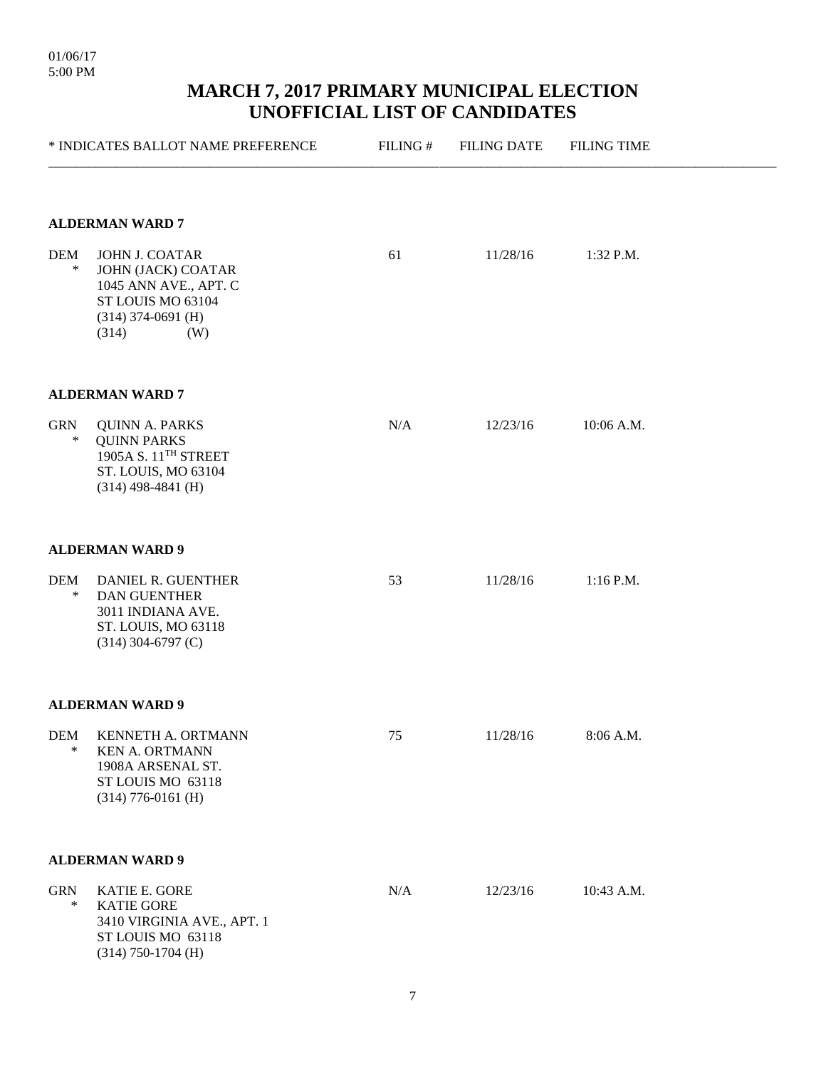|                      | * INDICATES BALLOT NAME PREFERENCE                                                                                             | FILING# | <b>FILING DATE</b> | <b>FILING TIME</b> |
|----------------------|--------------------------------------------------------------------------------------------------------------------------------|---------|--------------------|--------------------|
|                      | <b>ALDERMAN WARD 7</b>                                                                                                         |         |                    |                    |
| <b>DEM</b><br>$\ast$ | JOHN J. COATAR<br>JOHN (JACK) COATAR<br>1045 ANN AVE., APT. C<br>ST LOUIS MO 63104<br>$(314)$ 374-0691 (H)<br>(314)<br>(W)     | 61      | 11/28/16           | 1:32 P.M.          |
|                      | <b>ALDERMAN WARD 7</b>                                                                                                         |         |                    |                    |
| <b>GRN</b><br>$\ast$ | <b>QUINN A. PARKS</b><br><b>QUINN PARKS</b><br>1905A S. 11 <sup>TH</sup> STREET<br>ST. LOUIS, MO 63104<br>$(314)$ 498-4841 (H) | N/A     | 12/23/16           | 10:06 A.M.         |
|                      | <b>ALDERMAN WARD 9</b>                                                                                                         |         |                    |                    |
| <b>DEM</b><br>$\ast$ | DANIEL R. GUENTHER<br><b>DAN GUENTHER</b><br>3011 INDIANA AVE.<br>ST. LOUIS, MO 63118<br>$(314)$ 304-6797 (C)                  | 53      | 11/28/16           | $1:16$ P.M.        |
|                      | <b>ALDERMAN WARD 9</b>                                                                                                         |         |                    |                    |
| <b>DEM</b><br>$\ast$ | KENNETH A. ORTMANN<br><b>KEN A. ORTMANN</b><br>1908A ARSENAL ST.<br>ST LOUIS MO 63118<br>$(314)$ 776-0161 (H)                  | 75      | 11/28/16           | 8:06 A.M.          |
|                      | <b>ALDERMAN WARD 9</b>                                                                                                         |         |                    |                    |
| <b>GRN</b><br>$\ast$ | KATIE E. GORE<br><b>KATIE GORE</b><br>3410 VIRGINIA AVE., APT. 1<br>ST LOUIS MO 63118<br>$(314)$ 750-1704 (H)                  | N/A     | 12/23/16           | 10:43 A.M.         |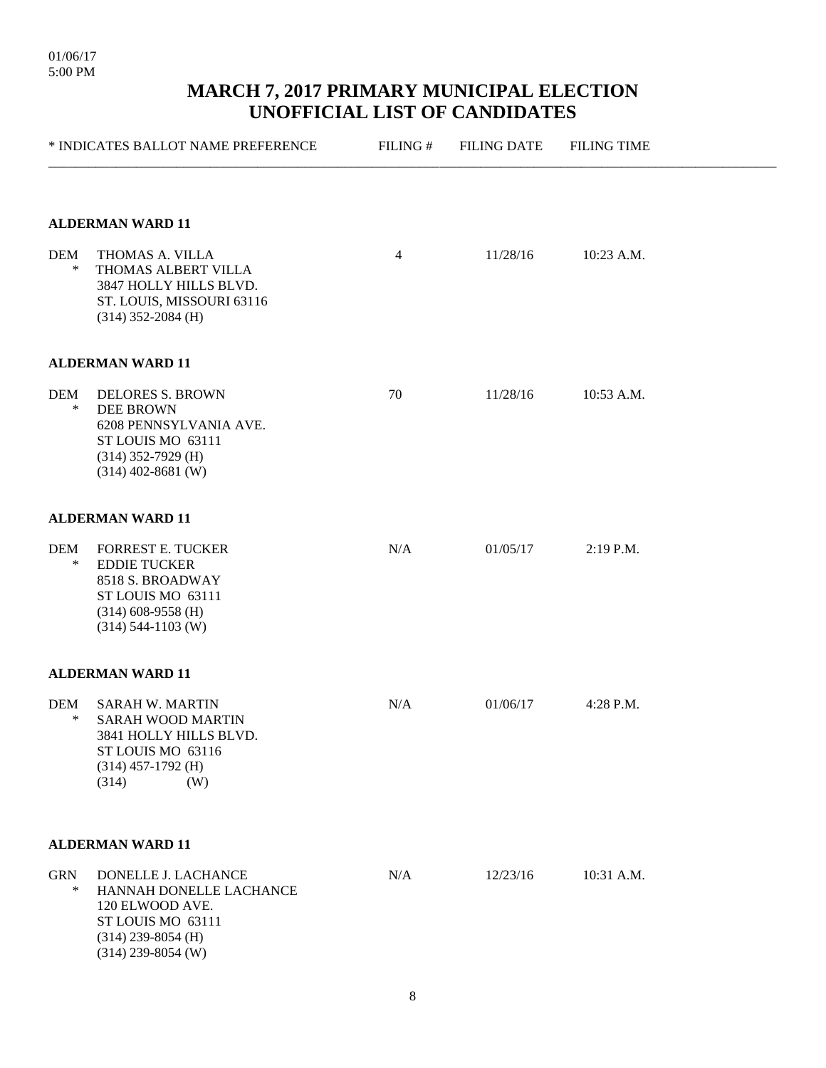|                      | * INDICATES BALLOT NAME PREFERENCE                                                                                                         | FILING#        | <b>FILING DATE</b><br>11/28/16 | <b>FILING TIME</b> |  |
|----------------------|--------------------------------------------------------------------------------------------------------------------------------------------|----------------|--------------------------------|--------------------|--|
| <b>DEM</b>           | <b>ALDERMAN WARD 11</b><br>THOMAS A. VILLA                                                                                                 | $\overline{4}$ |                                | 10:23 A.M.         |  |
| $\ast$               | THOMAS ALBERT VILLA<br>3847 HOLLY HILLS BLVD.<br>ST. LOUIS, MISSOURI 63116<br>$(314)$ 352-2084 (H)                                         |                |                                |                    |  |
|                      | <b>ALDERMAN WARD 11</b>                                                                                                                    |                |                                |                    |  |
| <b>DEM</b><br>$\ast$ | <b>DELORES S. BROWN</b><br><b>DEE BROWN</b><br>6208 PENNSYLVANIA AVE.<br>ST LOUIS MO 63111<br>$(314)$ 352-7929 (H)<br>$(314)$ 402-8681 (W) | 70             | 11/28/16                       | 10:53 A.M.         |  |
|                      | <b>ALDERMAN WARD 11</b>                                                                                                                    |                |                                |                    |  |
| <b>DEM</b><br>$\ast$ | <b>FORREST E. TUCKER</b><br><b>EDDIE TUCKER</b><br>8518 S. BROADWAY<br>ST LOUIS MO 63111<br>$(314)$ 608-9558 (H)<br>$(314)$ 544-1103 (W)   | N/A            | 01/05/17                       | $2:19$ P.M.        |  |
|                      | <b>ALDERMAN WARD 11</b>                                                                                                                    |                |                                |                    |  |
| <b>DEM</b><br>∗      | <b>SARAH W. MARTIN</b><br><b>SARAH WOOD MARTIN</b><br>3841 HOLLY HILLS BLVD.<br>ST LOUIS MO 63116<br>$(314)$ 457-1792 (H)<br>(314)<br>(W)  | N/A            | 01/06/17                       | 4:28 P.M.          |  |
|                      | <b>ALDERMAN WARD 11</b>                                                                                                                    |                |                                |                    |  |
| <b>GRN</b><br>$\ast$ | DONELLE J. LACHANCE<br>HANNAH DONELLE LACHANCE<br>120 ELWOOD AVE.<br>ST LOUIS MO 63111<br>$(314)$ 239-8054 (H)<br>$(314)$ 239-8054 (W)     | N/A            | 12/23/16                       | 10:31 A.M.         |  |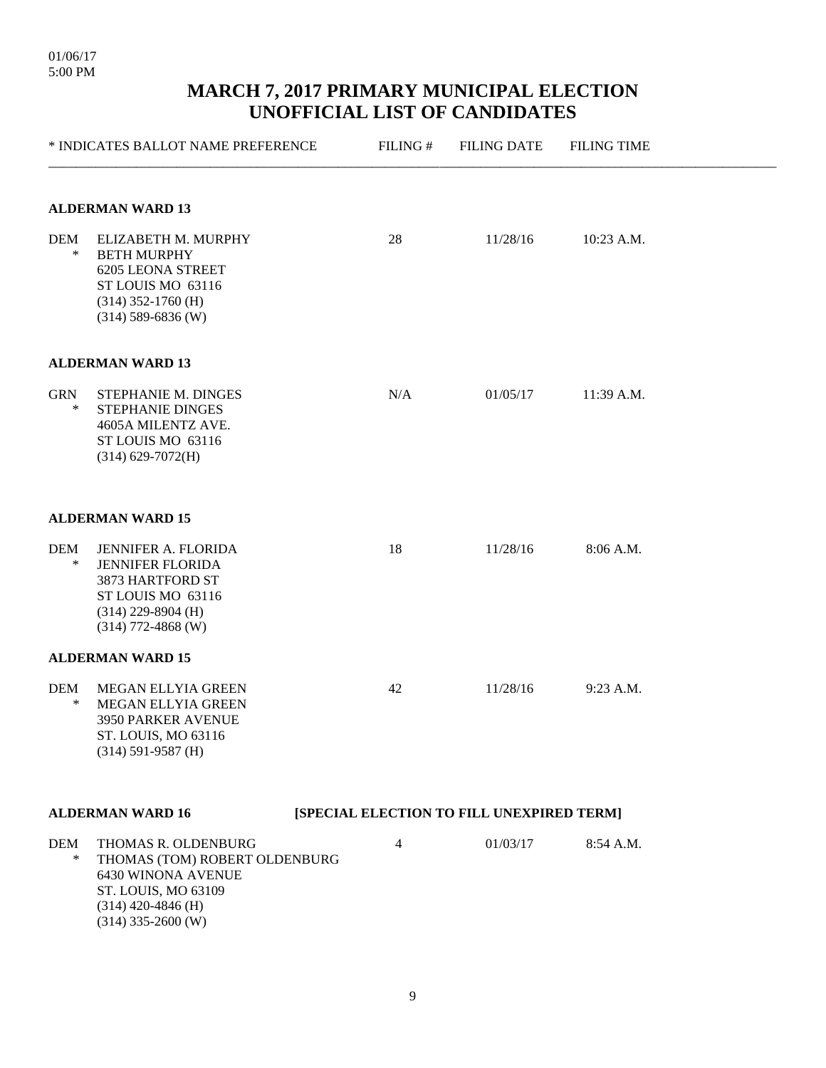|                         | * INDICATES BALLOT NAME PREFERENCE                                                                                                                | FILING#                                   | <b>FILING DATE</b> | <b>FILING TIME</b> |  |  |  |  |
|-------------------------|---------------------------------------------------------------------------------------------------------------------------------------------------|-------------------------------------------|--------------------|--------------------|--|--|--|--|
| <b>ALDERMAN WARD 13</b> |                                                                                                                                                   |                                           |                    |                    |  |  |  |  |
| DEM<br>$\ast$           | ELIZABETH M. MURPHY<br><b>BETH MURPHY</b><br><b>6205 LEONA STREET</b><br>ST LOUIS MO 63116<br>$(314)$ 352-1760 (H)<br>$(314)$ 589-6836 (W)        | 28                                        | 11/28/16           | 10:23 A.M.         |  |  |  |  |
|                         | <b>ALDERMAN WARD 13</b>                                                                                                                           |                                           |                    |                    |  |  |  |  |
| <b>GRN</b><br>$\ast$    | STEPHANIE M. DINGES<br>STEPHANIE DINGES<br>4605A MILENTZ AVE.<br>ST LOUIS MO 63116<br>$(314) 629 - 7072$ (H)                                      | N/A                                       | 01/05/17           | 11:39 A.M.         |  |  |  |  |
|                         | <b>ALDERMAN WARD 15</b>                                                                                                                           |                                           |                    |                    |  |  |  |  |
| <b>DEM</b><br>∗         | JENNIFER A. FLORIDA<br><b>JENNIFER FLORIDA</b><br>3873 HARTFORD ST<br>ST LOUIS MO 63116<br>$(314)$ 229-8904 (H)<br>$(314)$ 772-4868 (W)           | 18                                        | 11/28/16           | 8:06 A.M.          |  |  |  |  |
|                         | <b>ALDERMAN WARD 15</b>                                                                                                                           |                                           |                    |                    |  |  |  |  |
| <b>DEM</b><br>∗         | MEGAN ELLYIA GREEN<br><b>MEGAN ELLYIA GREEN</b><br>3950 PARKER AVENUE<br>ST. LOUIS, MO 63116<br>$(314) 591 - 9587$ (H)                            | 42                                        | 11/28/16           | 9:23 A.M.          |  |  |  |  |
|                         | <b>ALDERMAN WARD 16</b>                                                                                                                           | [SPECIAL ELECTION TO FILL UNEXPIRED TERM] |                    |                    |  |  |  |  |
| <b>DEM</b><br>$\ast$    | THOMAS R. OLDENBURG<br>THOMAS (TOM) ROBERT OLDENBURG<br>6430 WINONA AVENUE<br>ST. LOUIS, MO 63109<br>$(314)$ 420-4846 (H)<br>$(314)$ 335-2600 (W) | 4                                         | 01/03/17           | 8:54 A.M.          |  |  |  |  |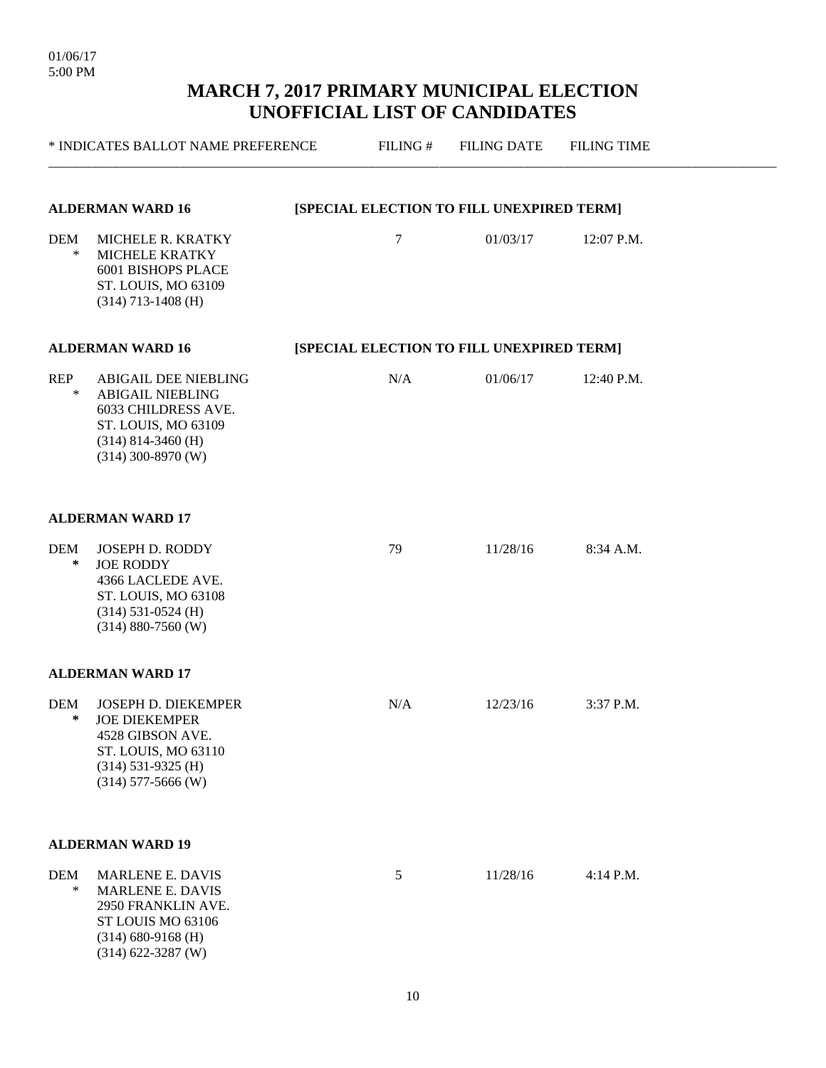|                      | * INDICATES BALLOT NAME PREFERENCE                                                                                                                   | FILING# | <b>FILING DATE</b>                        | <b>FILING TIME</b> |  |
|----------------------|------------------------------------------------------------------------------------------------------------------------------------------------------|---------|-------------------------------------------|--------------------|--|
|                      | <b>ALDERMAN WARD 16</b>                                                                                                                              |         | [SPECIAL ELECTION TO FILL UNEXPIRED TERM] |                    |  |
| <b>DEM</b><br>$\ast$ | MICHELE R. KRATKY<br>MICHELE KRATKY<br>6001 BISHOPS PLACE<br>ST. LOUIS, MO 63109<br>$(314)$ 713-1408 (H)                                             | 7       | 01/03/17                                  | 12:07 P.M.         |  |
|                      | <b>ALDERMAN WARD 16</b>                                                                                                                              |         | [SPECIAL ELECTION TO FILL UNEXPIRED TERM] |                    |  |
| <b>REP</b><br>$\ast$ | <b>ABIGAIL DEE NIEBLING</b><br><b>ABIGAIL NIEBLING</b><br>6033 CHILDRESS AVE.<br>ST. LOUIS, MO 63109<br>$(314)$ 814-3460 (H)<br>$(314)$ 300-8970 (W) | N/A     | 01/06/17                                  | 12:40 P.M.         |  |
|                      | <b>ALDERMAN WARD 17</b>                                                                                                                              |         |                                           |                    |  |
| <b>DEM</b><br>$\ast$ | <b>JOSEPH D. RODDY</b><br><b>JOE RODDY</b><br>4366 LACLEDE AVE.<br>ST. LOUIS, MO 63108<br>$(314)$ 531-0524 (H)<br>$(314) 880 - 7560$ (W)             | 79      | 11/28/16                                  | 8:34 A.M.          |  |
|                      | <b>ALDERMAN WARD 17</b>                                                                                                                              |         |                                           |                    |  |
| <b>DEM</b><br>$\ast$ | <b>JOSEPH D. DIEKEMPER</b><br><b>JOE DIEKEMPER</b><br>4528 GIBSON AVE.<br>ST. LOUIS, MO 63110<br>$(314)$ 531-9325 (H)<br>$(314)$ 577-5666 (W)        | N/A     | 12/23/16                                  | 3:37 P.M.          |  |
|                      | <b>ALDERMAN WARD 19</b>                                                                                                                              |         |                                           |                    |  |
| <b>DEM</b><br>$\ast$ | <b>MARLENE E. DAVIS</b><br><b>MARLENE E. DAVIS</b><br>2950 FRANKLIN AVE.<br>ST LOUIS MO 63106<br>$(314) 680 - 9168$ (H)<br>$(314) 622 - 3287$ (W)    | 5       | 11/28/16                                  | 4:14 P.M.          |  |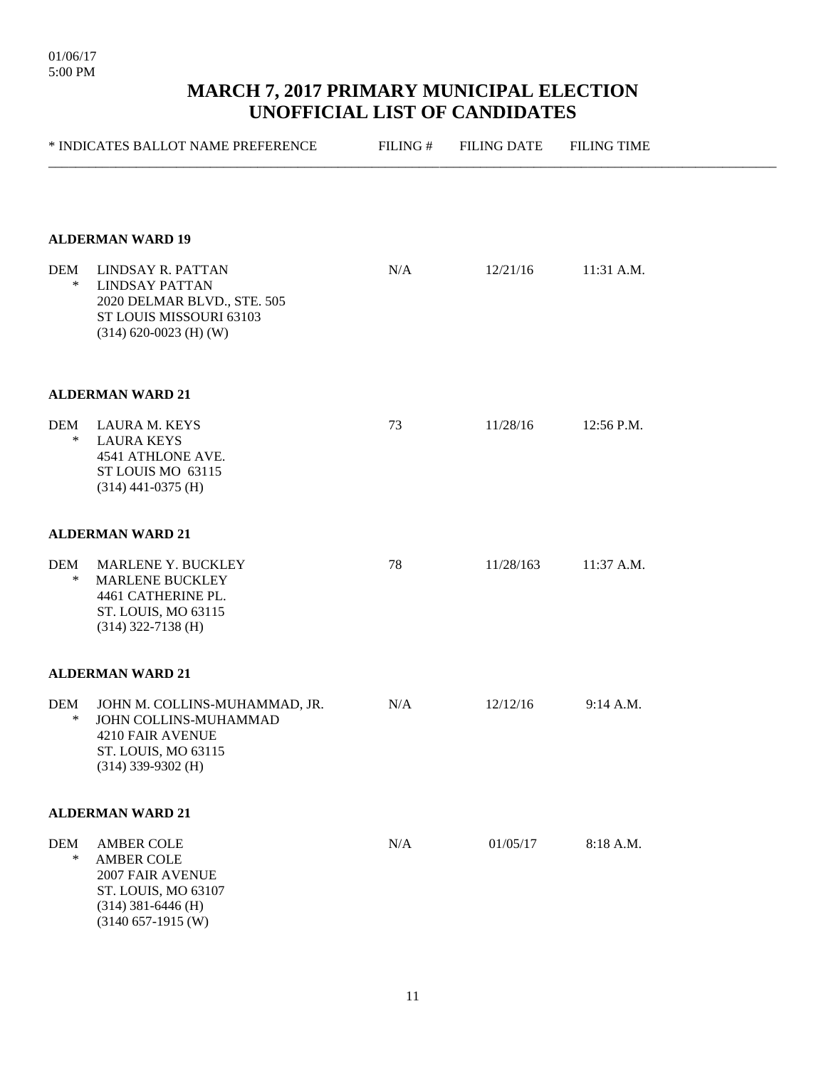|                      | * INDICATES BALLOT NAME PREFERENCE                                                                                                  | FILING# | <b>FILING DATE</b> | <b>FILING TIME</b> |  |
|----------------------|-------------------------------------------------------------------------------------------------------------------------------------|---------|--------------------|--------------------|--|
| DEM<br>$\ast$        | <b>ALDERMAN WARD 19</b><br>LINDSAY R. PATTAN<br><b>LINDSAY PATTAN</b><br>2020 DELMAR BLVD., STE. 505<br>ST LOUIS MISSOURI 63103     | N/A     | 12/21/16           | 11:31 A.M.         |  |
|                      | $(314) 620-0023$ (H) (W)<br><b>ALDERMAN WARD 21</b>                                                                                 |         |                    |                    |  |
| DEM<br>$\ast$        | <b>LAURA M. KEYS</b><br><b>LAURA KEYS</b><br>4541 ATHLONE AVE.<br>ST LOUIS MO 63115<br>$(314)$ 441-0375 (H)                         | 73      | 11/28/16           | 12:56 P.M.         |  |
|                      | <b>ALDERMAN WARD 21</b>                                                                                                             |         |                    |                    |  |
| <b>DEM</b><br>$\ast$ | MARLENE Y. BUCKLEY<br><b>MARLENE BUCKLEY</b><br>4461 CATHERINE PL.<br>ST. LOUIS, MO 63115<br>$(314)$ 322-7138 (H)                   | 78      | 11/28/163          | 11:37 A.M.         |  |
|                      | <b>ALDERMAN WARD 21</b>                                                                                                             |         |                    |                    |  |
| <b>DEM</b><br>∗      | JOHN M. COLLINS-MUHAMMAD, JR.<br>JOHN COLLINS-MUHAMMAD<br>4210 FAIR AVENUE<br>ST. LOUIS, MO 63115<br>$(314)$ 339-9302 (H)           | N/A     | 12/12/16           | 9:14 A.M.          |  |
|                      | <b>ALDERMAN WARD 21</b>                                                                                                             |         |                    |                    |  |
| <b>DEM</b><br>$\ast$ | <b>AMBER COLE</b><br><b>AMBER COLE</b><br>2007 FAIR AVENUE<br>ST. LOUIS, MO 63107<br>$(314)$ 381-6446 (H)<br>$(3140 657 - 1915$ (W) | N/A     | 01/05/17           | 8:18 A.M.          |  |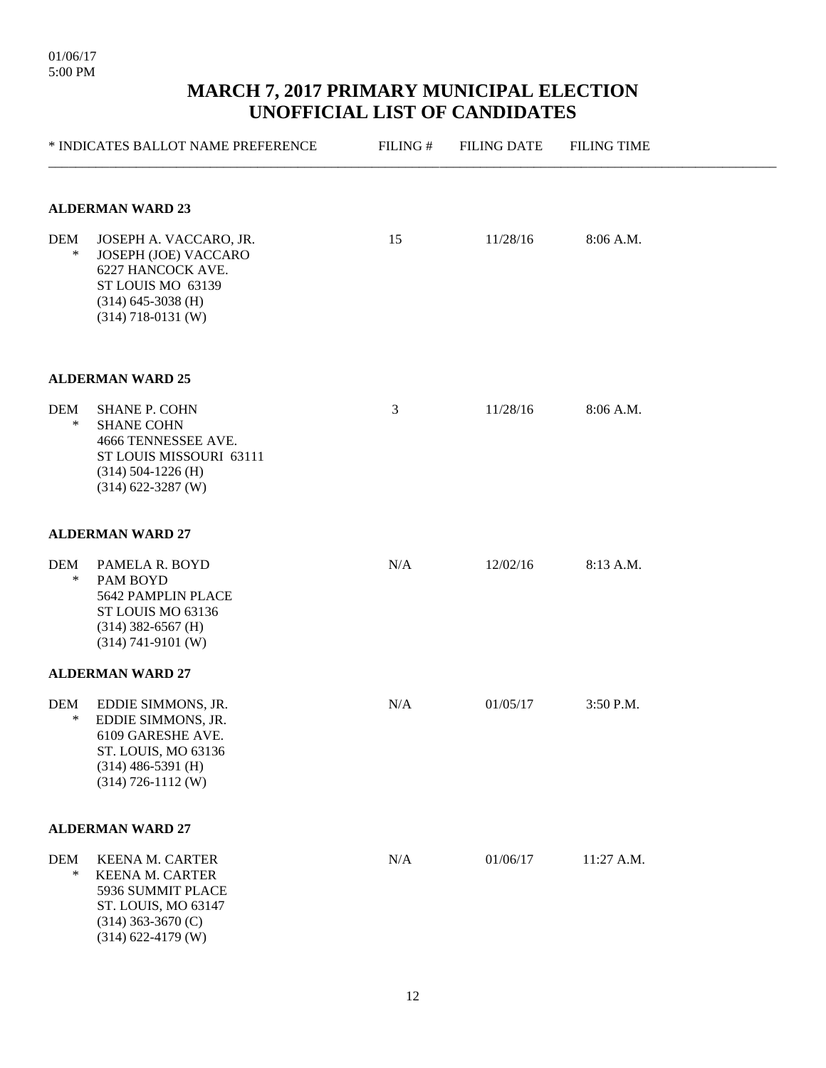|                 | * INDICATES BALLOT NAME PREFERENCE                                                                                                              | FILING# | <b>FILING DATE</b> | <b>FILING TIME</b> |  |  |  |  |  |
|-----------------|-------------------------------------------------------------------------------------------------------------------------------------------------|---------|--------------------|--------------------|--|--|--|--|--|
|                 | <b>ALDERMAN WARD 23</b>                                                                                                                         |         |                    |                    |  |  |  |  |  |
| DEM<br>$\ast$   | JOSEPH A. VACCARO, JR.<br>JOSEPH (JOE) VACCARO<br>6227 HANCOCK AVE.<br>ST LOUIS MO 63139<br>$(314)$ 645-3038 (H)<br>$(314)$ 718-0131 (W)        | 15      | 11/28/16           | 8:06 A.M.          |  |  |  |  |  |
|                 | <b>ALDERMAN WARD 25</b>                                                                                                                         |         |                    |                    |  |  |  |  |  |
| DEM<br>$\ast$   | <b>SHANE P. COHN</b><br><b>SHANE COHN</b><br>4666 TENNESSEE AVE.<br>ST LOUIS MISSOURI 63111<br>$(314) 504 - 1226$ (H)<br>$(314) 622 - 3287$ (W) | 3       | 11/28/16           | 8:06 A.M.          |  |  |  |  |  |
|                 | <b>ALDERMAN WARD 27</b>                                                                                                                         |         |                    |                    |  |  |  |  |  |
| DEM<br>$\ast$   | PAMELA R. BOYD<br>PAM BOYD<br>5642 PAMPLIN PLACE<br>ST LOUIS MO 63136<br>$(314)$ 382-6567 (H)<br>$(314) 741-9101$ (W)                           | N/A     | 12/02/16           | 8:13 A.M.          |  |  |  |  |  |
|                 | <b>ALDERMAN WARD 27</b>                                                                                                                         |         |                    |                    |  |  |  |  |  |
| <b>DEM</b><br>∗ | EDDIE SIMMONS, JR.<br>EDDIE SIMMONS, JR.<br>6109 GARESHE AVE.<br>ST. LOUIS, MO 63136<br>$(314)$ 486-5391 (H)<br>$(314)$ 726-1112 (W)            | N/A     | 01/05/17           | 3:50 P.M.          |  |  |  |  |  |
|                 | <b>ALDERMAN WARD 27</b>                                                                                                                         |         |                    |                    |  |  |  |  |  |
| <b>DEM</b><br>∗ | <b>KEENA M. CARTER</b><br><b>KEENA M. CARTER</b><br>5936 SUMMIT PLACE<br>ST. LOUIS, MO 63147<br>$(314)$ 363-3670 (C)<br>$(314) 622 - 4179$ (W)  | N/A     | 01/06/17           | 11:27 A.M.         |  |  |  |  |  |